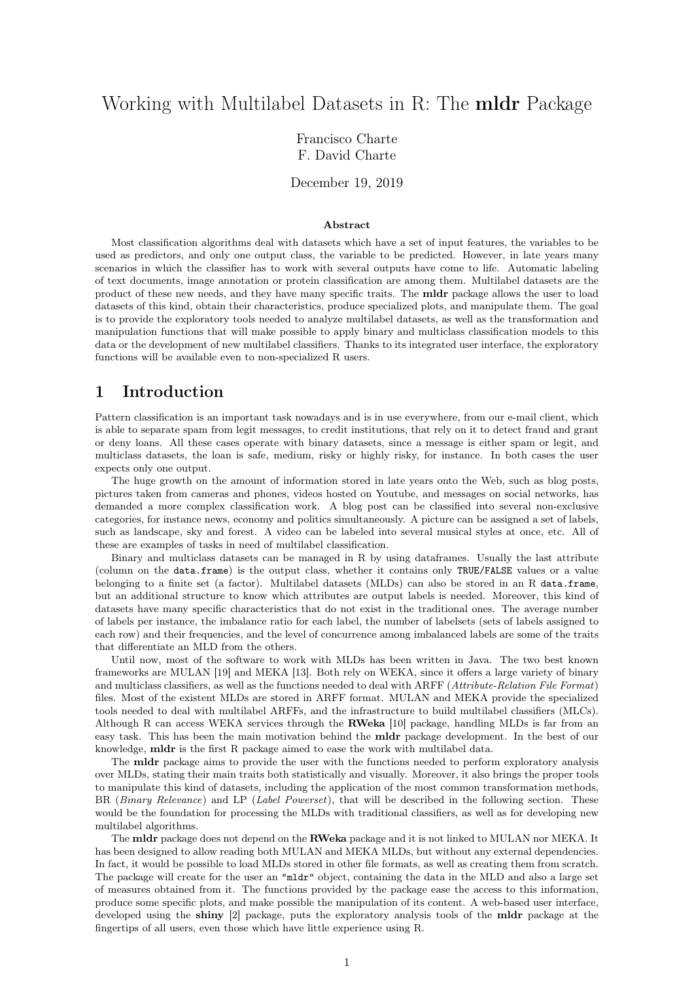# Working with Multilabel Datasets in R: The mldr Package

Francisco Charte F. David Charte

December 19, 2019

#### Abstract

Most classification algorithms deal with datasets which have a set of input features, the variables to be used as predictors, and only one output class, the variable to be predicted. However, in late years many scenarios in which the classifier has to work with several outputs have come to life. Automatic labeling of text documents, image annotation or protein classification are among them. Multilabel datasets are the product of these new needs, and they have many specific traits. The mldr package allows the user to load datasets of this kind, obtain their characteristics, produce specialized plots, and manipulate them. The goal is to provide the exploratory tools needed to analyze multilabel datasets, as well as the transformation and manipulation functions that will make possible to apply binary and multiclass classification models to this data or the development of new multilabel classifiers. Thanks to its integrated user interface, the exploratory functions will be available even to non-specialized R users.

### 1 Introduction

Pattern classification is an important task nowadays and is in use everywhere, from our e-mail client, which is able to separate spam from legit messages, to credit institutions, that rely on it to detect fraud and grant or deny loans. All these cases operate with binary datasets, since a message is either spam or legit, and multiclass datasets, the loan is safe, medium, risky or highly risky, for instance. In both cases the user expects only one output.

The huge growth on the amount of information stored in late years onto the Web, such as blog posts, pictures taken from cameras and phones, videos hosted on Youtube, and messages on social networks, has demanded a more complex classification work. A blog post can be classified into several non-exclusive categories, for instance news, economy and politics simultaneously. A picture can be assigned a set of labels, such as landscape, sky and forest. A video can be labeled into several musical styles at once, etc. All of these are examples of tasks in need of multilabel classification.

Binary and multiclass datasets can be managed in R by using dataframes. Usually the last attribute (column on the data.frame) is the output class, whether it contains only TRUE/FALSE values or a value belonging to a finite set (a factor). Multilabel datasets (MLDs) can also be stored in an R data.frame, but an additional structure to know which attributes are output labels is needed. Moreover, this kind of datasets have many specific characteristics that do not exist in the traditional ones. The average number of labels per instance, the imbalance ratio for each label, the number of labelsets (sets of labels assigned to each row) and their frequencies, and the level of concurrence among imbalanced labels are some of the traits that differentiate an MLD from the others.

Until now, most of the software to work with MLDs has been written in Java. The two best known frameworks are MULAN [19] and MEKA [13]. Both rely on WEKA, since it offers a large variety of binary and multiclass classifiers, as well as the functions needed to deal with ARFF (Attribute-Relation File Format) files. Most of the existent MLDs are stored in ARFF format. MULAN and MEKA provide the specialized tools needed to deal with multilabel ARFFs, and the infrastructure to build multilabel classifiers (MLCs). Although R can access WEKA services through the RWeka [10] package, handling MLDs is far from an easy task. This has been the main motivation behind the mldr package development. In the best of our knowledge, mldr is the first R package aimed to ease the work with multilabel data.

The mldr package aims to provide the user with the functions needed to perform exploratory analysis over MLDs, stating their main traits both statistically and visually. Moreover, it also brings the proper tools to manipulate this kind of datasets, including the application of the most common transformation methods, BR (Binary Relevance) and LP (Label Powerset), that will be described in the following section. These would be the foundation for processing the MLDs with traditional classifiers, as well as for developing new multilabel algorithms.

The mldr package does not depend on the RWeka package and it is not linked to MULAN nor MEKA. It has been designed to allow reading both MULAN and MEKA MLDs, but without any external dependencies. In fact, it would be possible to load MLDs stored in other file formats, as well as creating them from scratch. The package will create for the user an "mldr" object, containing the data in the MLD and also a large set of measures obtained from it. The functions provided by the package ease the access to this information, produce some specific plots, and make possible the manipulation of its content. A web-based user interface, developed using the shiny [2] package, puts the exploratory analysis tools of the mldr package at the fingertips of all users, even those which have little experience using R.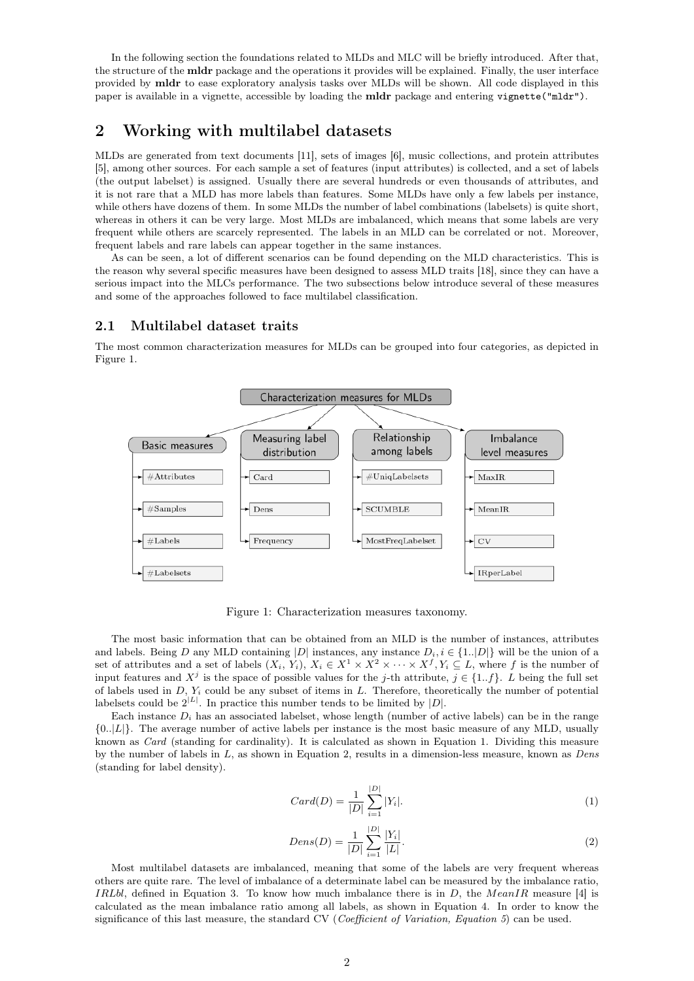In the following section the foundations related to MLDs and MLC will be briefly introduced. After that, the structure of the mldr package and the operations it provides will be explained. Finally, the user interface provided by mldr to ease exploratory analysis tasks over MLDs will be shown. All code displayed in this paper is available in a vignette, accessible by loading the mldr package and entering vignette("mldr").

## 2 Working with multilabel datasets

MLDs are generated from text documents [11], sets of images [6], music collections, and protein attributes [5], among other sources. For each sample a set of features (input attributes) is collected, and a set of labels (the output labelset) is assigned. Usually there are several hundreds or even thousands of attributes, and it is not rare that a MLD has more labels than features. Some MLDs have only a few labels per instance, while others have dozens of them. In some MLDs the number of label combinations (labelsets) is quite short, whereas in others it can be very large. Most MLDs are imbalanced, which means that some labels are very frequent while others are scarcely represented. The labels in an MLD can be correlated or not. Moreover, frequent labels and rare labels can appear together in the same instances.

As can be seen, a lot of different scenarios can be found depending on the MLD characteristics. This is the reason why several specific measures have been designed to assess MLD traits [18], since they can have a serious impact into the MLCs performance. The two subsections below introduce several of these measures and some of the approaches followed to face multilabel classification.

#### 2.1 Multilabel dataset traits

The most common characterization measures for MLDs can be grouped into four categories, as depicted in Figure 1.



Figure 1: Characterization measures taxonomy.

The most basic information that can be obtained from an MLD is the number of instances, attributes and labels. Being D any MLD containing |D| instances, any instance  $D_i$ ,  $i \in \{1..|D|\}$  will be the union of a set of attributes and a set of labels  $(X_i, Y_i)$ ,  $X_i \in X^1 \times X^2 \times \cdots \times X^f$ ,  $Y_i \subseteq L$ , where f is the number of input features and  $X^j$  is the space of possible values for the j-th attribute,  $j \in \{1..f\}$ . L being the full set of labels used in  $D$ ,  $Y_i$  could be any subset of items in  $L$ . Therefore, theoretically the number of potential labelsets could be  $2^{|L|}$ . In practice this number tends to be limited by  $|D|$ .

Each instance  $D_i$  has an associated labelset, whose length (number of active labels) can be in the range  ${0..|L|}$ . The average number of active labels per instance is the most basic measure of any MLD, usually known as Card (standing for cardinality). It is calculated as shown in Equation 1. Dividing this measure by the number of labels in  $L$ , as shown in Equation 2, results in a dimension-less measure, known as *Dens* (standing for label density).

$$
Card(D) = \frac{1}{|D|} \sum_{i=1}^{|D|} |Y_i|.
$$
 (1)

$$
Dens(D) = \frac{1}{|D|} \sum_{i=1}^{|D|} \frac{|Y_i|}{|L|}.
$$
\n(2)

Most multilabel datasets are imbalanced, meaning that some of the labels are very frequent whereas others are quite rare. The level of imbalance of a determinate label can be measured by the imbalance ratio, *IRLbl*, defined in Equation 3. To know how much imbalance there is in D, the  $MeanIR$  measure [4] is calculated as the mean imbalance ratio among all labels, as shown in Equation 4. In order to know the significance of this last measure, the standard CV (*Coefficient of Variation, Equation 5*) can be used.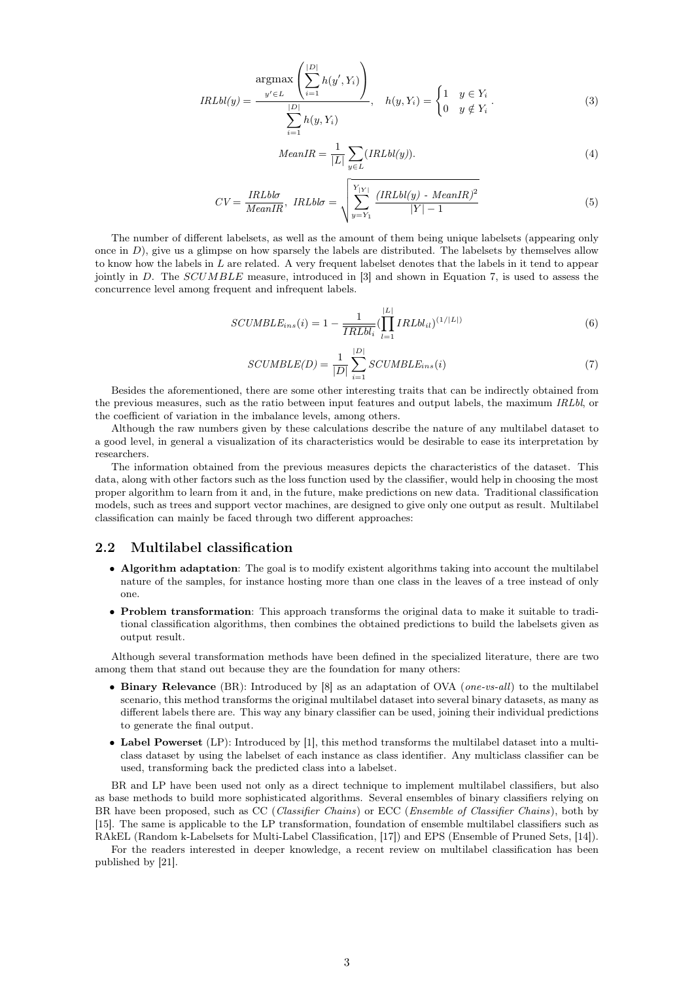$$
IRLbl(y) = \frac{\underset{y' \in L}{\operatorname{argmax}} \left( \sum_{i=1}^{|D|} h(y', Y_i) \right)}{\sum_{i=1}^{|D|} h(y, Y_i)}, \quad h(y, Y_i) = \begin{cases} 1 & y \in Y_i \\ 0 & y \notin Y_i \end{cases}.
$$
 (3)

$$
MeanIR = \frac{1}{|L|} \sum_{y \in L} (IRLbl(y)).
$$
\n<sup>(4)</sup>

$$
CV = \frac{IRLbb}{MeanIR}, \quad IRLbb = \sqrt{\sum_{y=Y_1}^{Y_{|Y|}} \frac{(IRLbl(y) - MeanIR)^2}{|Y| - 1}}
$$
(5)

The number of different labelsets, as well as the amount of them being unique labelsets (appearing only once in  $D$ ), give us a glimpse on how sparsely the labels are distributed. The labelsets by themselves allow to know how the labels in L are related. A very frequent labelset denotes that the labels in it tend to appear jointly in D. The  $SCUMBLE$  measure, introduced in [3] and shown in Equation 7, is used to assess the concurrence level among frequent and infrequent labels.

$$
SCUMBLE_{ins}(i) = 1 - \frac{1}{IRLbl_i} \left( \prod_{l=1}^{|L|} IRLbl_{il} \right)^{(1/|L|)}
$$
(6)

$$
SCUMBLE(D) = \frac{1}{|D|} \sum_{i=1}^{|D|} SCUMBLE_{ins}(i)
$$
\n<sup>(7)</sup>

Besides the aforementioned, there are some other interesting traits that can be indirectly obtained from the previous measures, such as the ratio between input features and output labels, the maximum IRLbl, or the coefficient of variation in the imbalance levels, among others.

Although the raw numbers given by these calculations describe the nature of any multilabel dataset to a good level, in general a visualization of its characteristics would be desirable to ease its interpretation by researchers.

The information obtained from the previous measures depicts the characteristics of the dataset. This data, along with other factors such as the loss function used by the classifier, would help in choosing the most proper algorithm to learn from it and, in the future, make predictions on new data. Traditional classification models, such as trees and support vector machines, are designed to give only one output as result. Multilabel classification can mainly be faced through two different approaches:

#### 2.2 Multilabel classification

- Algorithm adaptation: The goal is to modify existent algorithms taking into account the multilabel nature of the samples, for instance hosting more than one class in the leaves of a tree instead of only one.
- Problem transformation: This approach transforms the original data to make it suitable to traditional classification algorithms, then combines the obtained predictions to build the labelsets given as output result.

Although several transformation methods have been defined in the specialized literature, there are two among them that stand out because they are the foundation for many others:

- Binary Relevance (BR): Introduced by  $[8]$  as an adaptation of OVA (*one-vs-all*) to the multilabel scenario, this method transforms the original multilabel dataset into several binary datasets, as many as different labels there are. This way any binary classifier can be used, joining their individual predictions to generate the final output.
- Label Powerset (LP): Introduced by [1], this method transforms the multilabel dataset into a multiclass dataset by using the labelset of each instance as class identifier. Any multiclass classifier can be used, transforming back the predicted class into a labelset.

BR and LP have been used not only as a direct technique to implement multilabel classifiers, but also as base methods to build more sophisticated algorithms. Several ensembles of binary classifiers relying on BR have been proposed, such as CC (Classifier Chains) or ECC (Ensemble of Classifier Chains), both by [15]. The same is applicable to the LP transformation, foundation of ensemble multilabel classifiers such as RAkEL (Random k-Labelsets for Multi-Label Classification, [17]) and EPS (Ensemble of Pruned Sets, [14]).

For the readers interested in deeper knowledge, a recent review on multilabel classification has been published by [21].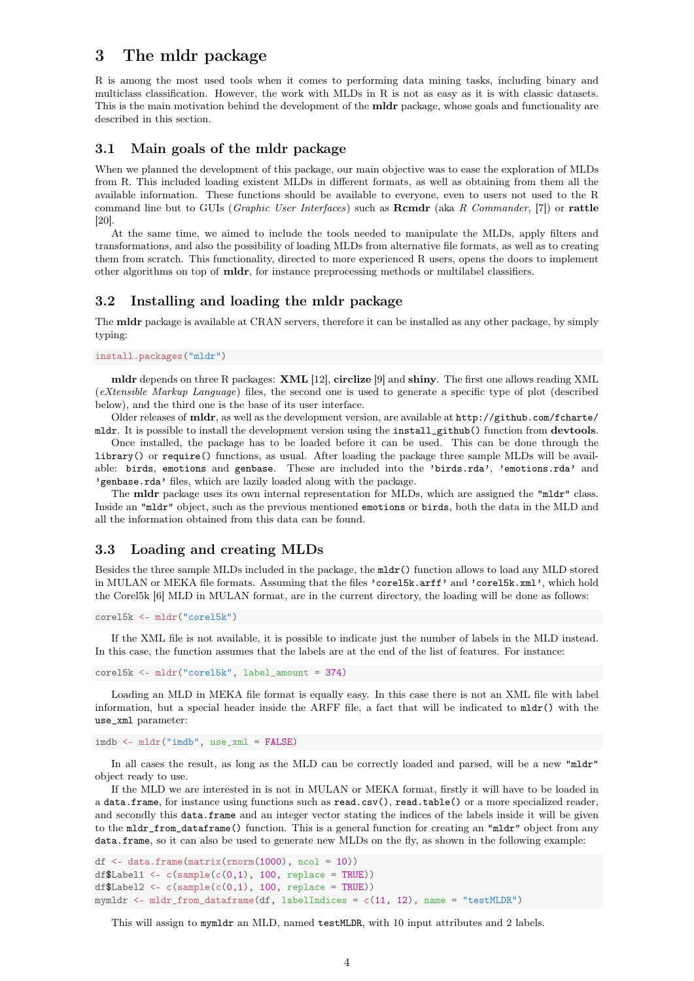## 3 The mldr package

R is among the most used tools when it comes to performing data mining tasks, including binary and multiclass classification. However, the work with MLDs in R is not as easy as it is with classic datasets. This is the main motivation behind the development of the **mldr** package, whose goals and functionality are described in this section.

#### 3.1 Main goals of the mldr package

When we planned the development of this package, our main objective was to ease the exploration of MLDs from R. This included loading existent MLDs in different formats, as well as obtaining from them all the available information. These functions should be available to everyone, even to users not used to the R command line but to GUIs (*Graphic User Interfaces*) such as **Rcmdr** (aka R Commander, [7]) or **rattle** [20].

At the same time, we aimed to include the tools needed to manipulate the MLDs, apply filters and transformations, and also the possibility of loading MLDs from alternative file formats, as well as to creating them from scratch. This functionality, directed to more experienced R users, opens the doors to implement other algorithms on top of mldr, for instance preprocessing methods or multilabel classifiers.

### 3.2 Installing and loading the mldr package

The mldr package is available at CRAN servers, therefore it can be installed as any other package, by simply typing:

#### install.packages("mldr")

mldr depends on three R packages: XML [12], circlize [9] and shiny. The first one allows reading XML (eXtensible Markup Language) files, the second one is used to generate a specific type of plot (described below), and the third one is the base of its user interface.

Older releases of mldr, as well as the development version, are available at http://github.com/fcharte/ mldr. It is possible to install the development version using the install\_github() function from devtools.

Once installed, the package has to be loaded before it can be used. This can be done through the library() or require() functions, as usual. After loading the package three sample MLDs will be available: birds, emotions and genbase. These are included into the 'birds.rda', 'emotions.rda' and 'genbase.rda' files, which are lazily loaded along with the package.

The **mldr** package uses its own internal representation for MLDs, which are assigned the "mldr" class. Inside an "mldr" object, such as the previous mentioned emotions or birds, both the data in the MLD and all the information obtained from this data can be found.

### 3.3 Loading and creating MLDs

Besides the three sample MLDs included in the package, the mldr() function allows to load any MLD stored in MULAN or MEKA file formats. Assuming that the files 'core15k.arff' and 'core15k.xml', which hold the Corel5k [6] MLD in MULAN format, are in the current directory, the loading will be done as follows:

```
corel5k <- mldr("corel5k")
```
If the XML file is not available, it is possible to indicate just the number of labels in the MLD instead. In this case, the function assumes that the labels are at the end of the list of features. For instance:

```
corel5k <- mldr("corel5k", label_amount = 374)
```
Loading an MLD in MEKA file format is equally easy. In this case there is not an XML file with label information, but a special header inside the ARFF file, a fact that will be indicated to mldr() with the use\_xml parameter:

```
imdb <- mldr("imdb", use_xml = FALSE)
```
In all cases the result, as long as the MLD can be correctly loaded and parsed, will be a new "mldr" object ready to use.

If the MLD we are interested in is not in MULAN or MEKA format, firstly it will have to be loaded in a data.frame, for instance using functions such as read.csv(), read.table() or a more specialized reader, and secondly this data.frame and an integer vector stating the indices of the labels inside it will be given to the mldr\_from\_dataframe() function. This is a general function for creating an "mldr" object from any data.frame, so it can also be used to generate new MLDs on the fly, as shown in the following example:

```
df \leq data.frame(matrix(rnorm(1000), ncol = 10))
df$Label1 <- c(sample(c(0,1), 100, replace = TRUE))
df$Label2 <- c(sample(c(0,1), 100, replace = TRUE))
mymldr <- mldr_from_dataframe(df, labelIndices = c(11, 12), name = "testMLDR")
```
This will assign to mymldr an MLD, named testMLDR, with 10 input attributes and 2 labels.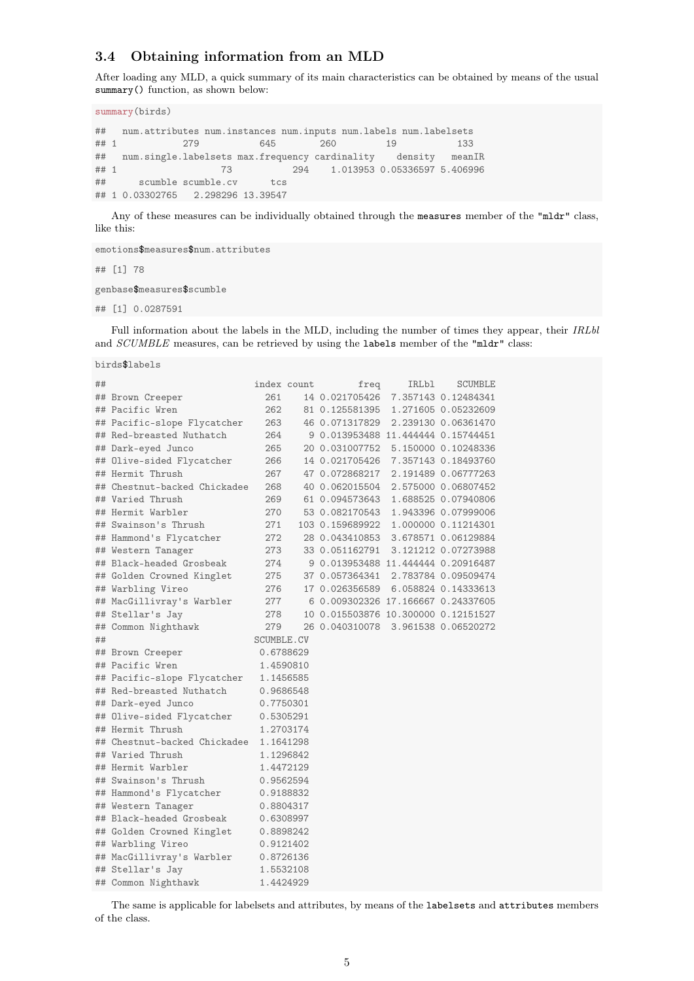### 3.4 Obtaining information from an MLD

After loading any MLD, a quick summary of its main characteristics can be obtained by means of the usual summary() function, as shown below:

```
summary(birds)
```
## num.attributes num.instances num.inputs num.labels num.labelsets ## 1 279 645 260 19 133 ## num.single.labelsets max.frequency cardinality density meanIR ## 1 73 294 1.013953 0.05336597 5.406996 ## scumble scumble.cv tcs ## 1 0.03302765 2.298296 13.39547

Any of these measures can be individually obtained through the measures member of the "mldr" class, like this:

```
emotions$measures$num.attributes
## [1] 78
genbase$measures$scumble
## [1] 0.0287591
```
Full information about the labels in the MLD, including the number of times they appear, their IRLbl and SCUMBLE measures, can be retrieved by using the labels member of the "mldr" class:

birds\$labels

| ## |                              |           | index count | freq                                | <b>IRLb1</b> | <b>SCUMBLE</b>      |  |
|----|------------------------------|-----------|-------------|-------------------------------------|--------------|---------------------|--|
|    | ## Brown Creeper             | 261       |             | 14 0.021705426                      |              | 7.357143 0.12484341 |  |
|    | ## Pacific Wren              | 262       |             | 81 0.125581395                      |              | 1.271605 0.05232609 |  |
|    | ## Pacific-slope Flycatcher  | 263       |             | 46 0.071317829                      |              | 2.239130 0.06361470 |  |
|    | ## Red-breasted Nuthatch     | 264       |             | 9 0.013953488 11.444444 0.15744451  |              |                     |  |
|    | ## Dark-eyed Junco           | 265       |             | 20 0.031007752                      |              | 5.150000 0.10248336 |  |
|    | ## Olive-sided Flycatcher    | 266       |             | 14 0.021705426 7.357143 0.18493760  |              |                     |  |
|    | ## Hermit Thrush             | 267       |             | 47 0.072868217                      |              | 2.191489 0.06777263 |  |
|    | ## Chestnut-backed Chickadee | 268       |             | 40 0.062015504                      |              | 2.575000 0.06807452 |  |
|    | ## Varied Thrush             | 269       |             | 61 0.094573643                      |              | 1.688525 0.07940806 |  |
|    | ## Hermit Warbler            | 270       |             | 53 0.082170543                      |              | 1.943396 0.07999006 |  |
|    | ## Swainson's Thrush         | 271       |             | 103 0.159689922                     |              | 1.000000 0.11214301 |  |
|    | ## Hammond's Flycatcher      | 272       |             | 28 0.043410853                      |              | 3.678571 0.06129884 |  |
|    | ## Western Tanager           | 273       |             | 33 0.051162791                      |              | 3.121212 0.07273988 |  |
|    | ## Black-headed Grosbeak     | 274       |             | 9 0.013953488 11.444444 0.20916487  |              |                     |  |
|    | ## Golden Crowned Kinglet    | 275       |             | 37 0.057364341                      |              | 2.783784 0.09509474 |  |
|    | ## Warbling Vireo            | 276       |             | 17 0.026356589                      |              | 6.058824 0.14333613 |  |
|    | ## MacGillivray's Warbler    | 277       |             | 6 0.009302326 17.166667 0.24337605  |              |                     |  |
|    | ## Stellar's Jay             | 278       |             | 10 0.015503876 10.300000 0.12151527 |              |                     |  |
|    | ## Common Nighthawk          | 279       |             | 26 0.040310078                      |              | 3.961538 0.06520272 |  |
| ## | SCUMBLE.CV                   |           |             |                                     |              |                     |  |
|    | ## Brown Creeper             |           | 0.6788629   |                                     |              |                     |  |
|    | ## Pacific Wren              |           | 1.4590810   |                                     |              |                     |  |
|    | ## Pacific-slope Flycatcher  |           | 1.1456585   |                                     |              |                     |  |
|    | ## Red-breasted Nuthatch     |           | 0.9686548   |                                     |              |                     |  |
|    | ## Dark-eyed Junco           |           | 0.7750301   |                                     |              |                     |  |
|    | ## Olive-sided Flycatcher    | 0.5305291 |             |                                     |              |                     |  |
|    | ## Hermit Thrush             |           | 1.2703174   |                                     |              |                     |  |
|    | ## Chestnut-backed Chickadee |           | 1.1641298   |                                     |              |                     |  |
|    | ## Varied Thrush             |           | 1.1296842   |                                     |              |                     |  |
|    | ## Hermit Warbler            |           | 1.4472129   |                                     |              |                     |  |
|    | ## Swainson's Thrush         | 0.9562594 |             |                                     |              |                     |  |
|    | ## Hammond's Flycatcher      | 0.9188832 |             |                                     |              |                     |  |
|    | ## Western Tanager           | 0.8804317 |             |                                     |              |                     |  |
|    | ## Black-headed Grosbeak     |           | 0.6308997   |                                     |              |                     |  |
|    | ## Golden Crowned Kinglet    | 0.8898242 |             |                                     |              |                     |  |
|    | ## Warbling Vireo            | 0.9121402 |             |                                     |              |                     |  |
|    | ## MacGillivray's Warbler    |           | 0.8726136   |                                     |              |                     |  |
|    | ## Stellar's Jay             |           | 1.5532108   |                                     |              |                     |  |
|    | ## Common Nighthawk          |           | 1.4424929   |                                     |              |                     |  |

The same is applicable for labelsets and attributes, by means of the labelsets and attributes members of the class.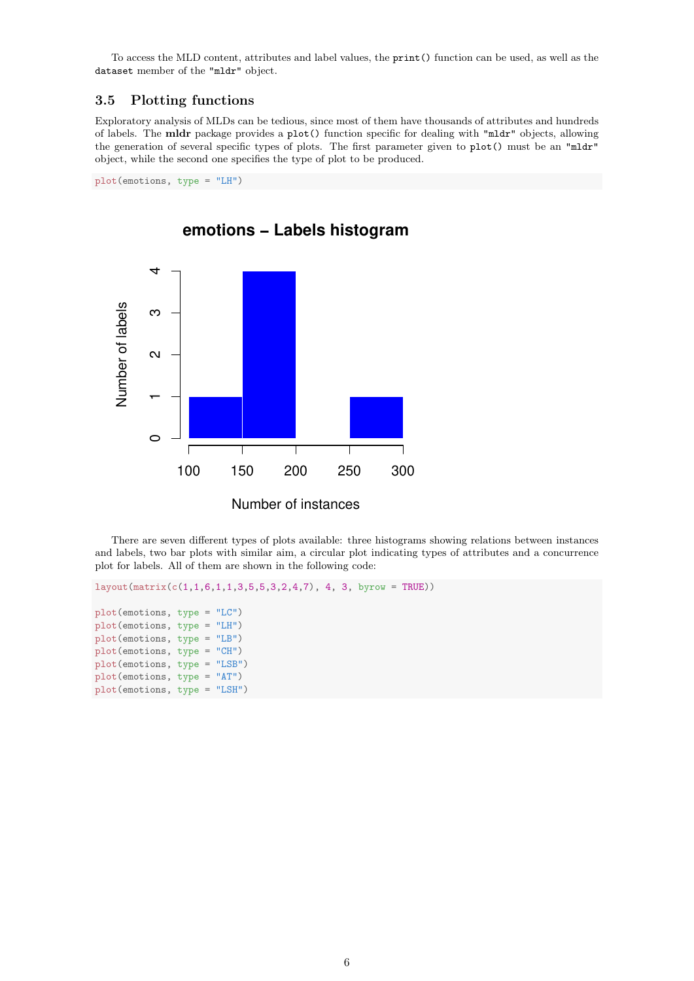To access the MLD content, attributes and label values, the print() function can be used, as well as the dataset member of the "mldr" object.

### 3.5 Plotting functions

Exploratory analysis of MLDs can be tedious, since most of them have thousands of attributes and hundreds of labels. The mldr package provides a plot() function specific for dealing with "mldr" objects, allowing the generation of several specific types of plots. The first parameter given to plot() must be an "mldr" object, while the second one specifies the type of plot to be produced.

plot(emotions, type = "LH")



**emotions − Labels histogram**

There are seven different types of plots available: three histograms showing relations between instances and labels, two bar plots with similar aim, a circular plot indicating types of attributes and a concurrence plot for labels. All of them are shown in the following code:

```
layout(matrix(c(1,1,6,1,1,3,5,5,3,2,4,7), 4, 3, byrow = TRUE))
plot(emotions, type = "LC")
plot(emotions, type = "LH")
plot(emotions, type = "LB")
plot(emotions, type = "CH")
plot(emotions, type = "LSB")
plot(emotions, type = "AT")
plot(emotions, type = "LSH")
```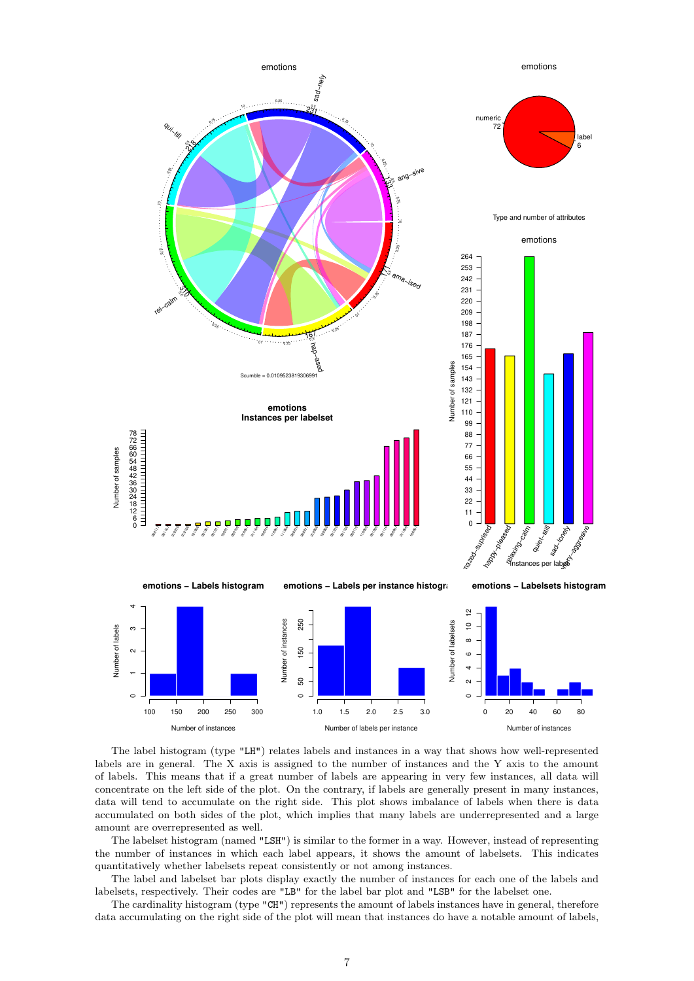

The label histogram (type "LH") relates labels and instances in a way that shows how well-represented labels are in general. The X axis is assigned to the number of instances and the Y axis to the amount of labels. This means that if a great number of labels are appearing in very few instances, all data will concentrate on the left side of the plot. On the contrary, if labels are generally present in many instances, data will tend to accumulate on the right side. This plot shows imbalance of labels when there is data accumulated on both sides of the plot, which implies that many labels are underrepresented and a large amount are overrepresented as well.

The labelset histogram (named "LSH") is similar to the former in a way. However, instead of representing the number of instances in which each label appears, it shows the amount of labelsets. This indicates quantitatively whether labelsets repeat consistently or not among instances.

The label and labelset bar plots display exactly the number of instances for each one of the labels and labelsets, respectively. Their codes are "LB" for the label bar plot and "LSB" for the labelset one.

The cardinality histogram (type "CH") represents the amount of labels instances have in general, therefore data accumulating on the right side of the plot will mean that instances do have a notable amount of labels,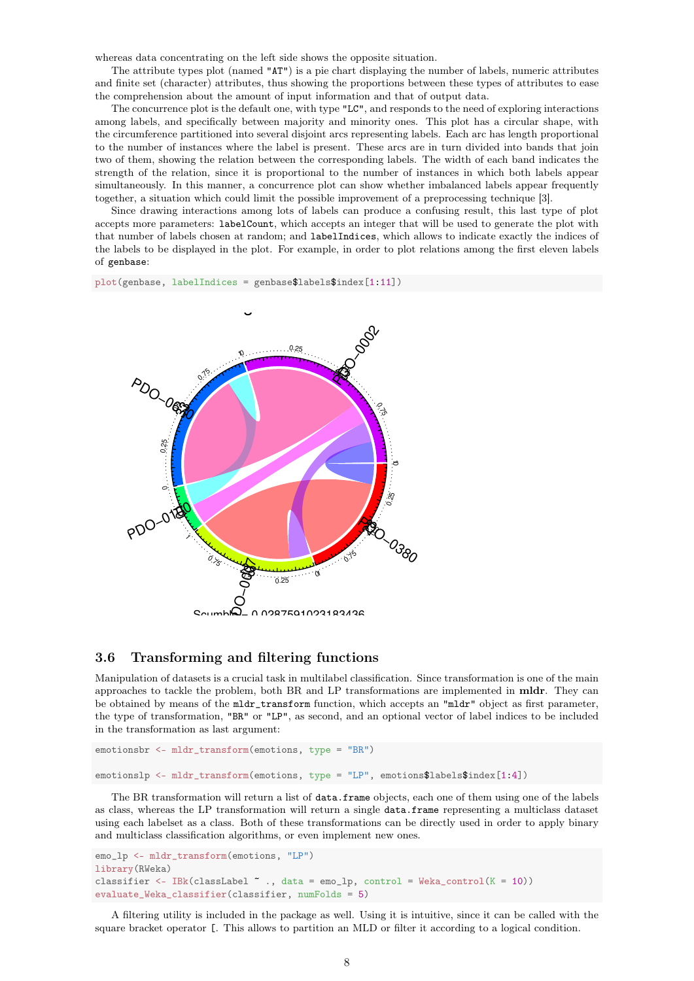whereas data concentrating on the left side shows the opposite situation.

The attribute types plot (named "AT") is a pie chart displaying the number of labels, numeric attributes and finite set (character) attributes, thus showing the proportions between these types of attributes to ease the comprehension about the amount of input information and that of output data.

The concurrence plot is the default one, with type "LC", and responds to the need of exploring interactions among labels, and specifically between majority and minority ones. This plot has a circular shape, with the circumference partitioned into several disjoint arcs representing labels. Each arc has length proportional to the number of instances where the label is present. These arcs are in turn divided into bands that join two of them, showing the relation between the corresponding labels. The width of each band indicates the strength of the relation, since it is proportional to the number of instances in which both labels appear simultaneously. In this manner, a concurrence plot can show whether imbalanced labels appear frequently together, a situation which could limit the possible improvement of a preprocessing technique [3].

Since drawing interactions among lots of labels can produce a confusing result, this last type of plot accepts more parameters: labelCount, which accepts an integer that will be used to generate the plot with that number of labels chosen at random; and labelIndices, which allows to indicate exactly the indices of the labels to be displayed in the plot. For example, in order to plot relations among the first eleven labels of genbase:

plot(genbase, labelIndices = genbase\$labels\$index[1:11])



#### 3.6 Transforming and filtering functions

Manipulation of datasets is a crucial task in multilabel classification. Since transformation is one of the main approaches to tackle the problem, both BR and LP transformations are implemented in mldr. They can be obtained by means of the mldr\_transform function, which accepts an "mldr" object as first parameter, the type of transformation, "BR" or "LP", as second, and an optional vector of label indices to be included in the transformation as last argument:

```
emotionsbr <- mldr_transform(emotions, type = "BR")
emotionslp <- mldr_transform(emotions, type = "LP", emotions$labels$index[1:4])
```
The BR transformation will return a list of data.frame objects, each one of them using one of the labels as class, whereas the LP transformation will return a single data.frame representing a multiclass dataset using each labelset as a class. Both of these transformations can be directly used in order to apply binary and multiclass classification algorithms, or even implement new ones.

```
emo_lp <- mldr_transform(emotions, "LP")
library(RWeka)
classifier <- IBk(classLabel \tilde{ } ., data = emo_lp, control = Weka_control(K = 10))
evaluate_Weka_classifier(classifier, numFolds = 5)
```
A filtering utility is included in the package as well. Using it is intuitive, since it can be called with the square bracket operator [. This allows to partition an MLD or filter it according to a logical condition.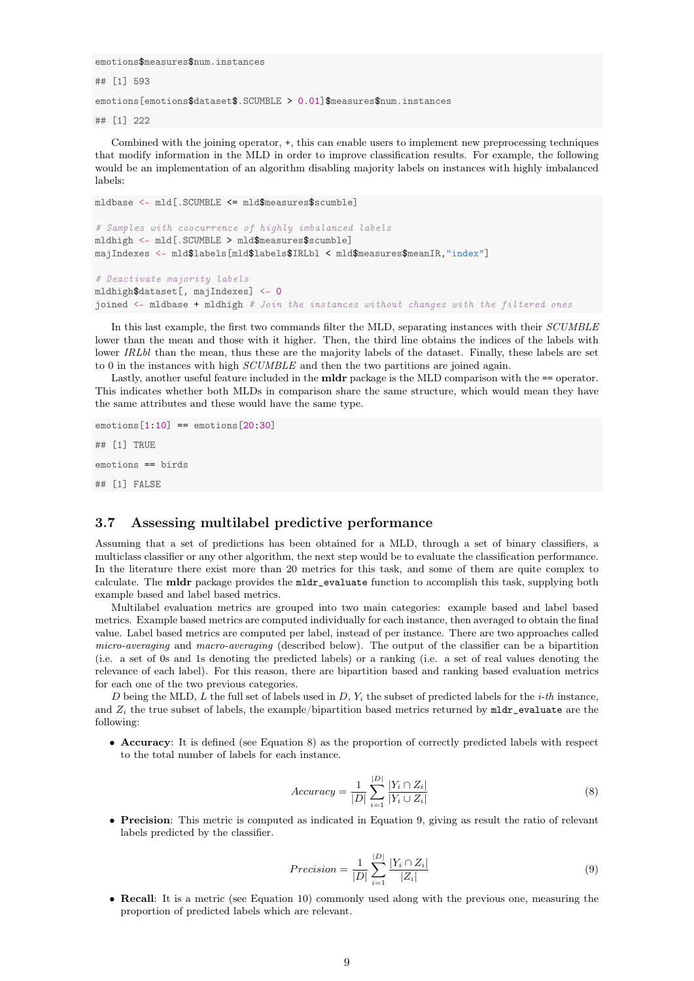emotions\$measures\$num.instances

## [1] 593

emotions[emotions\$dataset\$.SCUMBLE > 0.01]\$measures\$num.instances

## [1] 222

Combined with the joining operator, +, this can enable users to implement new preprocessing techniques that modify information in the MLD in order to improve classification results. For example, the following would be an implementation of an algorithm disabling majority labels on instances with highly imbalanced labels:

```
mldbase <- mld[.SCUMBLE <= mld$measures$scumble]
# Samples with coocurrence of highly imbalanced labels
mldhigh <- mld[.SCUMBLE > mld$measures$scumble]
majIndexes <- mld$labels[mld$labels$IRLbl < mld$measures$meanIR,"index"]
# Deactivate majority labels
mldhigh$dataset[, majIndexes] <- 0
joined <- mldbase + mldhigh # Join the instances without changes with the filtered ones
```
In this last example, the first two commands filter the MLD, separating instances with their SCUMBLE lower than the mean and those with it higher. Then, the third line obtains the indices of the labels with lower IRLbl than the mean, thus these are the majority labels of the dataset. Finally, these labels are set to 0 in the instances with high SCUMBLE and then the two partitions are joined again.

Lastly, another useful feature included in the **mldr** package is the MLD comparison with the == operator. This indicates whether both MLDs in comparison share the same structure, which would mean they have the same attributes and these would have the same type.

```
emotions[1:10] == emotions[20:30]## [1] TRUE
emotions == birds
## [1] FALSE
```
#### 3.7 Assessing multilabel predictive performance

Assuming that a set of predictions has been obtained for a MLD, through a set of binary classifiers, a multiclass classifier or any other algorithm, the next step would be to evaluate the classification performance. In the literature there exist more than 20 metrics for this task, and some of them are quite complex to calculate. The mldr package provides the mldr\_evaluate function to accomplish this task, supplying both example based and label based metrics.

Multilabel evaluation metrics are grouped into two main categories: example based and label based metrics. Example based metrics are computed individually for each instance, then averaged to obtain the final value. Label based metrics are computed per label, instead of per instance. There are two approaches called micro-averaging and macro-averaging (described below). The output of the classifier can be a bipartition (i.e. a set of 0s and 1s denoting the predicted labels) or a ranking (i.e. a set of real values denoting the relevance of each label). For this reason, there are bipartition based and ranking based evaluation metrics for each one of the two previous categories.

D being the MLD, L the full set of labels used in D,  $Y_i$  the subset of predicted labels for the *i-th* instance, and  $Z_i$  the true subset of labels, the example/bipartition based metrics returned by mldr evaluate are the following:

• Accuracy: It is defined (see Equation 8) as the proportion of correctly predicted labels with respect to the total number of labels for each instance.

$$
Accuracy = \frac{1}{|D|} \sum_{i=1}^{|D|} \frac{|Y_i \cap Z_i|}{|Y_i \cup Z_i|}
$$
\n
$$
(8)
$$

• Precision: This metric is computed as indicated in Equation 9, giving as result the ratio of relevant labels predicted by the classifier.

$$
Precision = \frac{1}{|D|} \sum_{i=1}^{|D|} \frac{|Y_i \cap Z_i|}{|Z_i|}
$$
\n
$$
(9)
$$

• Recall: It is a metric (see Equation 10) commonly used along with the previous one, measuring the proportion of predicted labels which are relevant.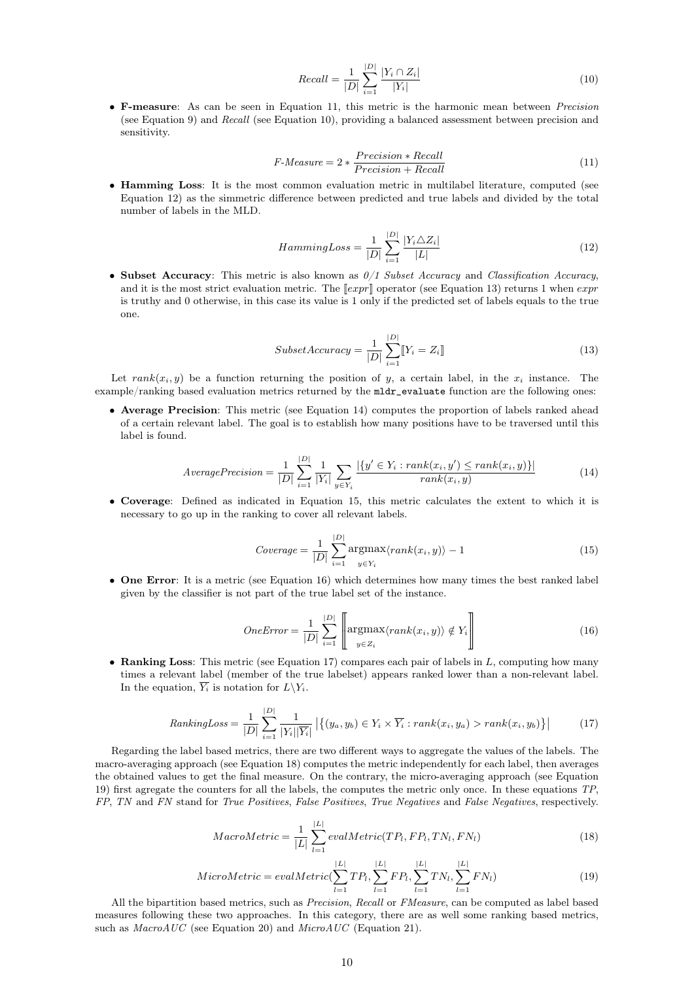$$
Recall = \frac{1}{|D|} \sum_{i=1}^{|D|} \frac{|Y_i \cap Z_i|}{|Y_i|}
$$
\n(10)

• F-measure: As can be seen in Equation 11, this metric is the harmonic mean between Precision (see Equation 9) and Recall (see Equation 10), providing a balanced assessment between precision and sensitivity.

$$
F\text{-}Measure = 2 * \frac{Precision * Recall}{Precision + Recall}
$$
\n<sup>(11)</sup>

• Hamming Loss: It is the most common evaluation metric in multilabel literature, computed (see Equation 12) as the simmetric difference between predicted and true labels and divided by the total number of labels in the MLD.

$$
HammingLoss = \frac{1}{|D|} \sum_{i=1}^{|D|} \frac{|Y_i \triangle Z_i|}{|L|}
$$
\n(12)

• Subset Accuracy: This metric is also known as  $0/1$  Subset Accuracy and Classification Accuracy. and it is the most strict evaluation metric. The  $\ell[xpr]$  operator (see Equation 13) returns 1 when  $expr$ is truthy and 0 otherwise, in this case its value is 1 only if the predicted set of labels equals to the true one.

$$
SubsetAccuracy = \frac{1}{|D|} \sum_{i=1}^{|D|} [Y_i = Z_i]
$$
\n(13)

Let  $rank(x_i, y)$  be a function returning the position of y, a certain label, in the  $x_i$  instance. The example/ranking based evaluation metrics returned by the mldr\_evaluate function are the following ones:

• Average Precision: This metric (see Equation 14) computes the proportion of labels ranked ahead of a certain relevant label. The goal is to establish how many positions have to be traversed until this label is found.

$$
Average Precision = \frac{1}{|D|} \sum_{i=1}^{|D|} \frac{1}{|Y_i|} \sum_{y \in Y_i} \frac{|\{y' \in Y_i : rank(x_i, y') \le rank(x_i, y)\}|}{rank(x_i, y)}
$$
(14)

• Coverage: Defined as indicated in Equation 15, this metric calculates the extent to which it is necessary to go up in the ranking to cover all relevant labels.

$$
Coverage = \frac{1}{|D|} \sum_{i=1}^{|D|} \underset{y \in Y_i}{\text{argmax}} \langle rank(x_i, y) \rangle - 1 \tag{15}
$$

• One Error: It is a metric (see Equation 16) which determines how many times the best ranked label given by the classifier is not part of the true label set of the instance.

$$
OneError = \frac{1}{|D|} \sum_{i=1}^{|D|} \left[ \underset{y \in Z_i}{\operatorname{argmax}} \langle rank(x_i, y) \rangle \notin Y_i \right] \tag{16}
$$

• Ranking Loss: This metric (see Equation 17) compares each pair of labels in  $L$ , computing how many times a relevant label (member of the true labelset) appears ranked lower than a non-relevant label. In the equation,  $\overline{Y_i}$  is notation for  $L\backslash Y_i$ .

$$
RankingLoss = \frac{1}{|D|} \sum_{i=1}^{|D|} \frac{1}{|Y_i||\overline{Y_i}|} \left| \left\{ (y_a, y_b) \in Y_i \times \overline{Y_i} : rank(x_i, y_a) > rank(x_i, y_b) \right\} \right| \tag{17}
$$

Regarding the label based metrics, there are two different ways to aggregate the values of the labels. The macro-averaging approach (see Equation 18) computes the metric independently for each label, then averages the obtained values to get the final measure. On the contrary, the micro-averaging approach (see Equation 19) first agregate the counters for all the labels, the computes the metric only once. In these equations TP, FP, TN and FN stand for True Positives, False Positives, True Negatives and False Negatives, respectively.

$$
MacroMetric = \frac{1}{|L|} \sum_{l=1}^{|L|} evalMetric(TP_l, FP_l, TN_l, FN_l)
$$
\n(18)

$$
MicroMetric = evalMetric(\sum_{l=1}^{|L|} TP_l, \sum_{l=1}^{|L|} FP_l, \sum_{l=1}^{|L|} TN_l, \sum_{l=1}^{|L|} FN_l)
$$
\n(19)

All the bipartition based metrics, such as *Precision, Recall* or FMeasure, can be computed as label based measures following these two approaches. In this category, there are as well some ranking based metrics, such as  $MacroAUC$  (see Equation 20) and MicroAUC (Equation 21).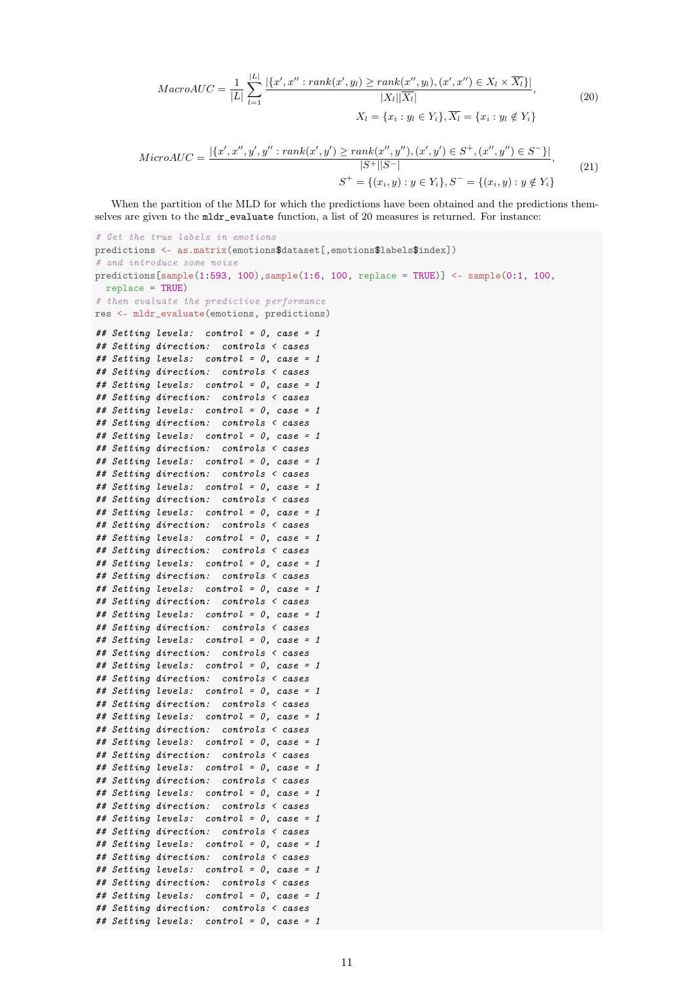$$
MacroAUC = \frac{1}{|L|} \sum_{l=1}^{|L|} \frac{|\{x', x'' : rank(x', y_l) \ge rank(x'', y_l), (x', x'') \in X_l \times \overline{X_l}\}|}{|X_l||\overline{X_l}|},
$$
  

$$
X_l = \{x_i : y_l \in Y_i\}, \overline{X_l} = \{x_i : y_l \notin Y_i\}
$$
(20)

$$
MicroAUC = \frac{|\{x', x'', y', y'' : rank(x', y') \ge rank(x'', y''), (x', y') \in S^+, (x'', y'') \in S^- \}|}{|S^+||S^-|},
$$
  

$$
S^+ = \{(x_i, y) : y \in Y_i\}, S^- = \{(x_i, y) : y \notin Y_i\}
$$

$$
(21)
$$

When the partition of the MLD for which the predictions have been obtained and the predictions themselves are given to the mldr\_evaluate function, a list of 20 measures is returned. For instance:

```
# Get the true labels in emotions
predictions <- as.matrix(emotions$dataset[,emotions$labels$index])
# and introduce some noise
predictions [sample(1:593, 100), sample(1:6, 100, replace = TRUE)] <- sample(0:1, 100,replace = TRUE)
# then evaluate the predictive performance
res <- mldr_evaluate(emotions, predictions)
## Setting levels: control = 0, case = 1
## Setting direction: controls < cases
## Setting levels: control = 0, case = 1
## Setting direction: controls < cases
## Setting levels: control = 0, case = 1
## Setting direction: controls < cases
## Setting levels: control = 0, case = 1
## Setting direction: controls < cases
## Setting levels: control = 0, case = 1
## Setting direction: controls < cases
## Setting levels: control = 0, case = 1
## Setting direction: controls < cases
## Setting levels: control = 0, case = 1
## Setting direction: controls < cases
## Setting levels: control = 0, case = 1
## Setting direction: controls < cases
## Setting levels: control = 0, case = 1
## Setting direction: controls < cases
## Setting levels: control = 0, case = 1
## Setting direction: controls < cases
## Setting levels: control = 0, case = 1
## Setting direction: controls < cases
## Setting levels: control = 0, case = 1
## Setting direction: controls < cases
## Setting levels: control = 0, case = 1
## Setting direction: controls < cases
## Setting levels: control = 0, case = 1
## Setting direction: controls < cases
## Setting levels: control = 0, case = 1
## Setting direction: controls < cases
## Setting levels: control = 0, case = 1
## Setting direction: controls < cases
## Setting levels: control = 0, case = 1
## Setting direction: controls < cases
## Setting levels: control = 0, case = 1
## Setting direction: controls < cases
## Setting levels: control = 0, case = 1
## Setting direction: controls < cases
## Setting levels: control = 0, case = 1
## Setting direction: controls < cases
## Setting levels: control = 0, case = 1
## Setting direction: controls < cases
## Setting levels: control = 0, case = 1
## Setting direction: controls < cases
## Setting levels: control = 0, case = 1
## Setting direction: controls < cases
## Setting levels: control = 0, case = 1
```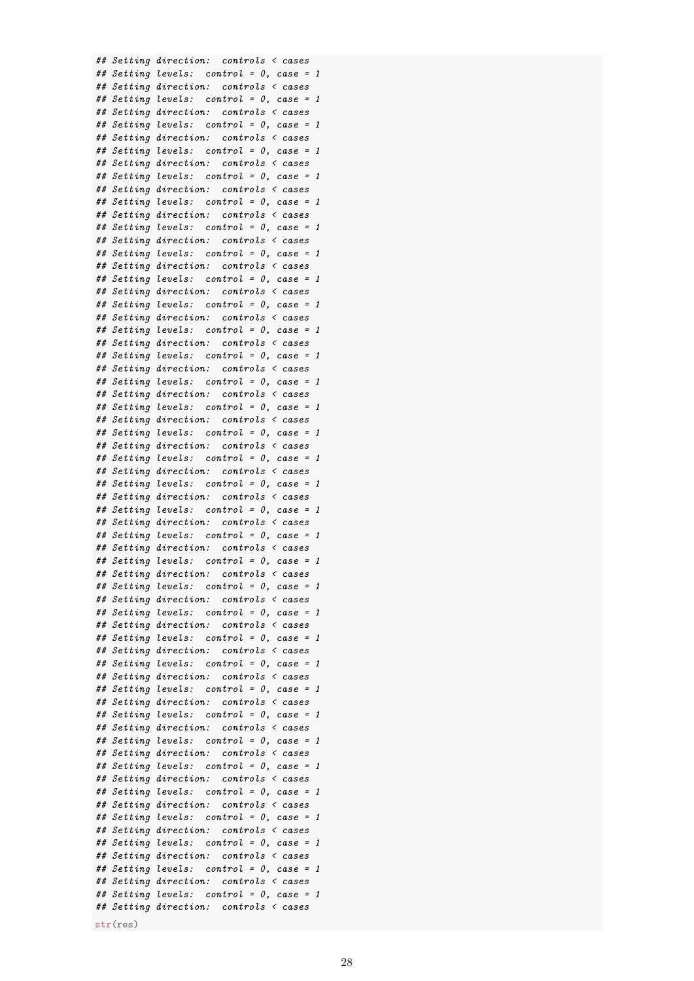str(res)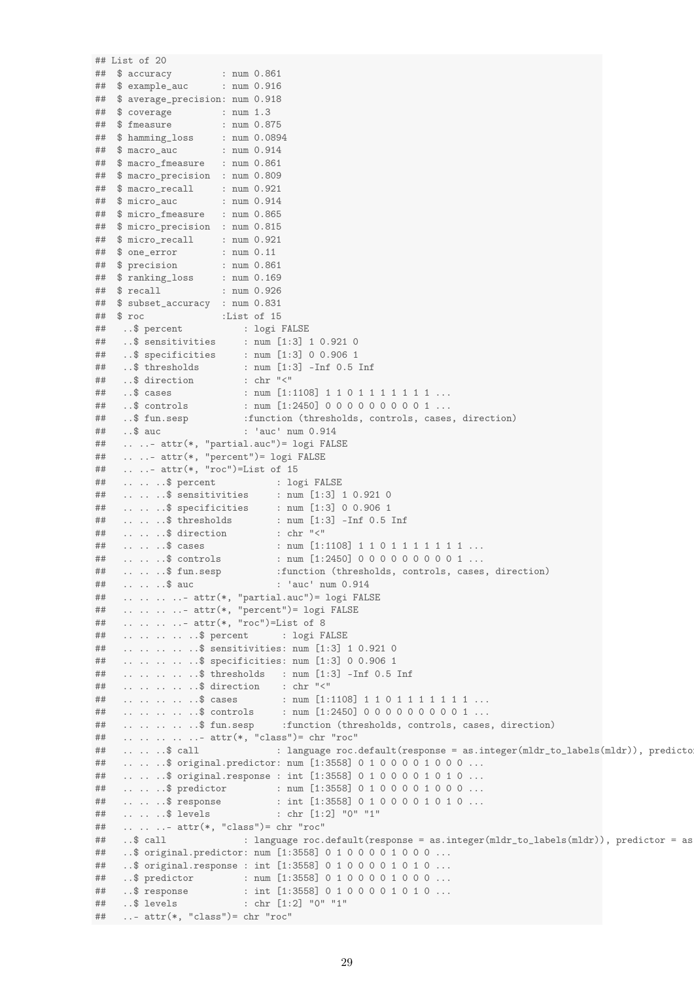```
## List of 20
## $ accuracy : num 0.861
## $ example_auc : num 0.916
## $ average_precision: num 0.918
              : num \ 1.3<br>: num \ 0.875## $ fmeasure
## $ hamming_loss : num 0.0894<br>## $ macro auc : num 0.914
## $ macro_auc : num 0.914
## $ macro_fmeasure : num 0.861
## $ macro_precision : num 0.809
## $ macro_recall : num 0.921
## $ micro_auc : num 0.914
## $ micro_fmeasure : num 0.865
## $ micro_precision : num 0.815
## $ micro_recall : num 0.921
## $ one_error : num 0.11
## $ precision : num 0.861
## $ ranking_loss : num 0.169
## $ recall : num 0.926
## $ subset_accuracy : num 0.831
## $ roc :List of 15
## ..$ percent : logi FALSE
## ..$ sensitivities : num [1:3] 1 0.921 0
## ..$ specificities : num [1:3] 0 0.906 1
## ..$ thresholds : num [1:3] -Inf 0.5 Inf
## ..$ direction
## ..$ cases : num [1:1108] 1 1 0 1 1 1 1 1 1 1 ...
## ..$ controls : num [1:2450] 0 0 0 0 0 0 0 0 0 1 ...
## ..$ fun.sesp :function (thresholds, controls, cases, direction)
## ..$ auc : 'auc' num 0.914
## .. ..- attr(*, "partial.auc")= logi FALSE
## .. ..- attr(*, "percent")= logi FALSE
## .. ..- attr(*, "roc")=List of 15
## .. .. ..$ percent : logi FALSE
## .. .. ..$ sensitivities : num [1:3] 1 0.921 0
## .. .. ..$ specificities : num [1:3] 0 0.906 1
## .. .. ..$ thresholds : num [1:3] -Inf 0.5 Inf
## .. .. ..$ direction : chr "<"
## .. .. .$ cases : num [1:1108] 1 1 0 1 1 1 1 1 1 1 ...<br>## .. .. .$ controls : num [1:2450] 0 0 0 0 0 0 0 0 0 1 ...
## .. .. ..$ controls : num [1:2450] 0 0 0 0 0 0 0 0 0 1 ...
## .. .. ..$ fun.sesp :function (thresholds, controls, cases, direction)
## .. .. ..$ auc : 'auc' num 0.914
## .. .. .. ..- attr(*, "partial.auc")= logi FALSE
## .. .. .. ..- attr(*, "percent")= logi FALSE
## .. .. .. ..- attr(*, "roc")=List of 8
## .. .. .. .. ..$ percent : logi FALSE
## .. .. .. .. ..$ sensitivities: num [1:3] 1 0.921 0
## .. .. .. .. ..$ specificities: num [1:3] 0 0.906 1
## .. .. .. .. ..$ thresholds : num [1:3] -Inf 0.5 Inf
## .. .. .. .. ..$ direction : chr "<"
## .. .. .. .. $ cases : num [1:1108] 1 1 0 1 1 1 1 1 1 1 ...<br>## .. .. .. .. .$ controls : num [1:2450] 0 0 0 0 0 0 0 0 0 1 ...
## .. .. .. .. ..$ controls : num [1:2450] 0 0 0 0 0 0 0 0 0 1 ...
## .. .. .. .. ..$ fun.sesp :function (thresholds, controls, cases, direction)
## .. .. .. .. ..- attr(*, "class")= chr "roc"
## .. .. .$ call : language roc.default(response = as.integer(mldr_to_labels(mldr)), predicto
## .. .. ..$ original.predictor: num [1:3558] 0 1 0 0 0 0 1 0 0 0 ...
## .. .. ..$ original.response : int [1:3558] 0 1 0 0 0 0 1 0 1 0 ...
## .. .. ..$ predictor : num [1:3558] 0 1 0 0 0 0 1 0 0 0 ...
## .. .. .$ response : int [1:3558] 0 1 0 0 0 0 1 0 1 0 ...
## .. .. ..$ levels : chr [1:2] "0" "1"
## .. .. ..- attr(*, "class")= chr "roc"
## ..$ call : language roc.default(response = as.integer(mldr_to_labels(mldr)), predictor = as
## ..$ original.predictor: num [1:3558] 0 1 0 0 0 0 1 0 0 0 ...
## ..$ original.response : int [1:3558] 0 1 0 0 0 0 1 0 1 0 ...
## ..$ predictor : num [1:3558] 0 1 0 0 0 0 1 0 0 0 ...
## ..$ response : int [1:3558] 0 1 0 0 0 0 1 0 1 0 ...
## ..$ levels : chr [1:2] "0" "1"
## ..- attr(*, "class")= chr "roc"
```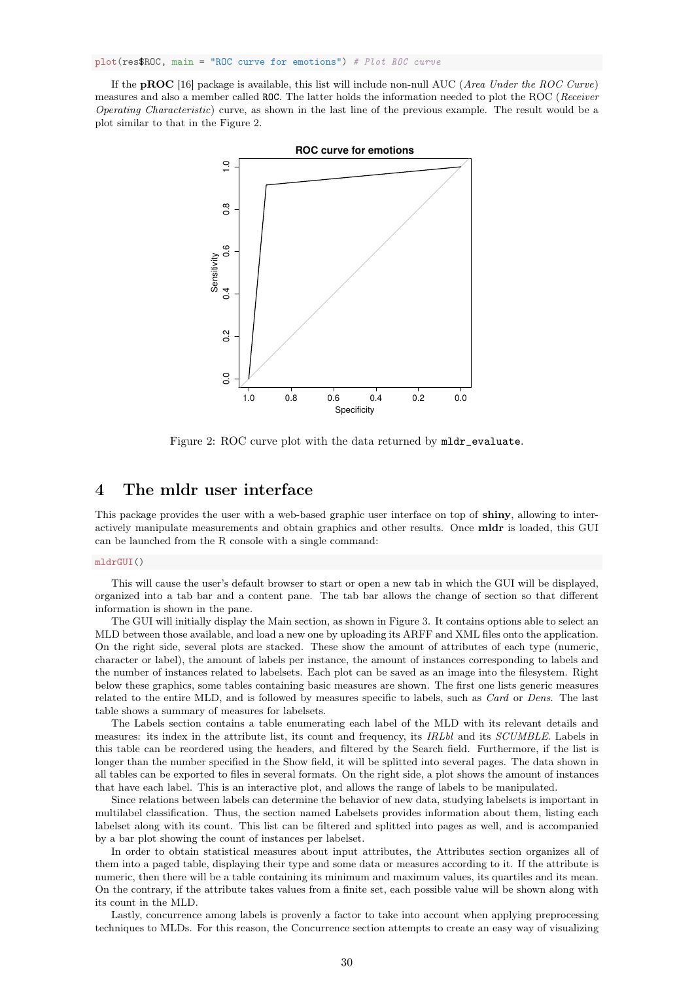plot(res\$ROC, main = "ROC curve for emotions") # Plot ROC curve

If the **pROC** [16] package is available, this list will include non-null AUC (*Area Under the ROC Curve*) measures and also a member called ROC. The latter holds the information needed to plot the ROC (Receiver Operating Characteristic) curve, as shown in the last line of the previous example. The result would be a plot similar to that in the Figure 2.



Figure 2: ROC curve plot with the data returned by mldr evaluate.

## 4 The mldr user interface

This package provides the user with a web-based graphic user interface on top of shiny, allowing to interactively manipulate measurements and obtain graphics and other results. Once mldr is loaded, this GUI can be launched from the R console with a single command:

#### mldrGUI()

This will cause the user's default browser to start or open a new tab in which the GUI will be displayed, organized into a tab bar and a content pane. The tab bar allows the change of section so that different information is shown in the pane.

The GUI will initially display the Main section, as shown in Figure 3. It contains options able to select an MLD between those available, and load a new one by uploading its ARFF and XML files onto the application. On the right side, several plots are stacked. These show the amount of attributes of each type (numeric, character or label), the amount of labels per instance, the amount of instances corresponding to labels and the number of instances related to labelsets. Each plot can be saved as an image into the filesystem. Right below these graphics, some tables containing basic measures are shown. The first one lists generic measures related to the entire MLD, and is followed by measures specific to labels, such as Card or Dens. The last table shows a summary of measures for labelsets.

The Labels section contains a table enumerating each label of the MLD with its relevant details and measures: its index in the attribute list, its count and frequency, its IRLbl and its SCUMBLE. Labels in this table can be reordered using the headers, and filtered by the Search field. Furthermore, if the list is longer than the number specified in the Show field, it will be splitted into several pages. The data shown in all tables can be exported to files in several formats. On the right side, a plot shows the amount of instances that have each label. This is an interactive plot, and allows the range of labels to be manipulated.

Since relations between labels can determine the behavior of new data, studying labelsets is important in multilabel classification. Thus, the section named Labelsets provides information about them, listing each labelset along with its count. This list can be filtered and splitted into pages as well, and is accompanied by a bar plot showing the count of instances per labelset.

In order to obtain statistical measures about input attributes, the Attributes section organizes all of them into a paged table, displaying their type and some data or measures according to it. If the attribute is numeric, then there will be a table containing its minimum and maximum values, its quartiles and its mean. On the contrary, if the attribute takes values from a finite set, each possible value will be shown along with its count in the MLD.

Lastly, concurrence among labels is provenly a factor to take into account when applying preprocessing techniques to MLDs. For this reason, the Concurrence section attempts to create an easy way of visualizing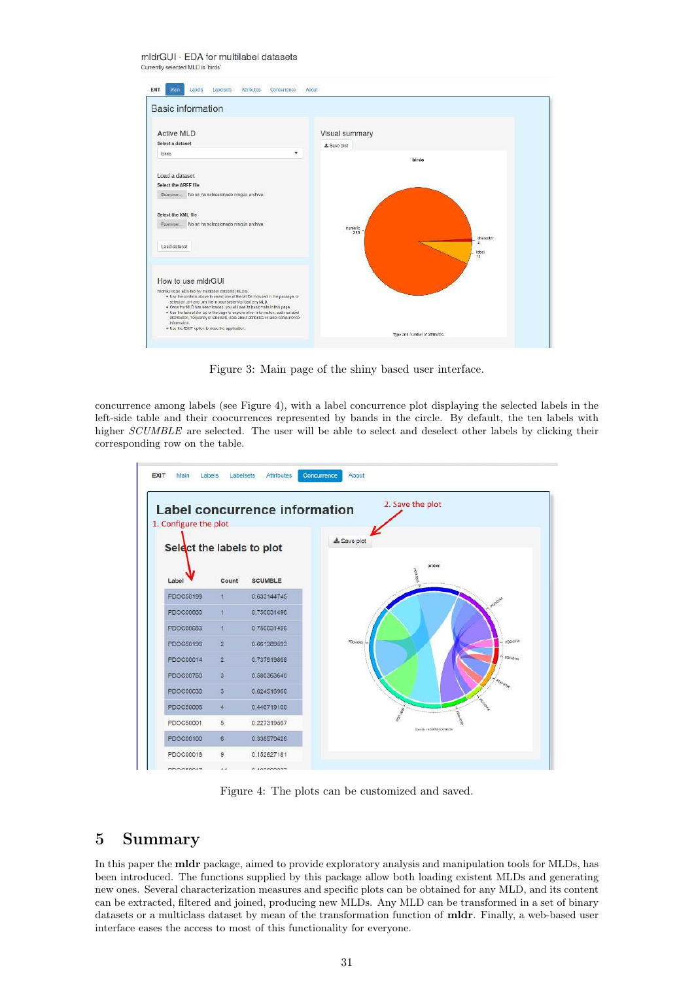

Figure 3: Main page of the shiny based user interface.

concurrence among labels (see Figure 4), with a label concurrence plot displaying the selected labels in the left-side table and their coocurrences represented by bands in the circle. By default, the ten labels with higher SCUMBLE are selected. The user will be able to select and deselect other labels by clicking their corresponding row on the table.



Figure 4: The plots can be customized and saved.

### 5 Summary

In this paper the mldr package, aimed to provide exploratory analysis and manipulation tools for MLDs, has been introduced. The functions supplied by this package allow both loading existent MLDs and generating new ones. Several characterization measures and specific plots can be obtained for any MLD, and its content can be extracted, filtered and joined, producing new MLDs. Any MLD can be transformed in a set of binary datasets or a multiclass dataset by mean of the transformation function of mldr. Finally, a web-based user interface eases the access to most of this functionality for everyone.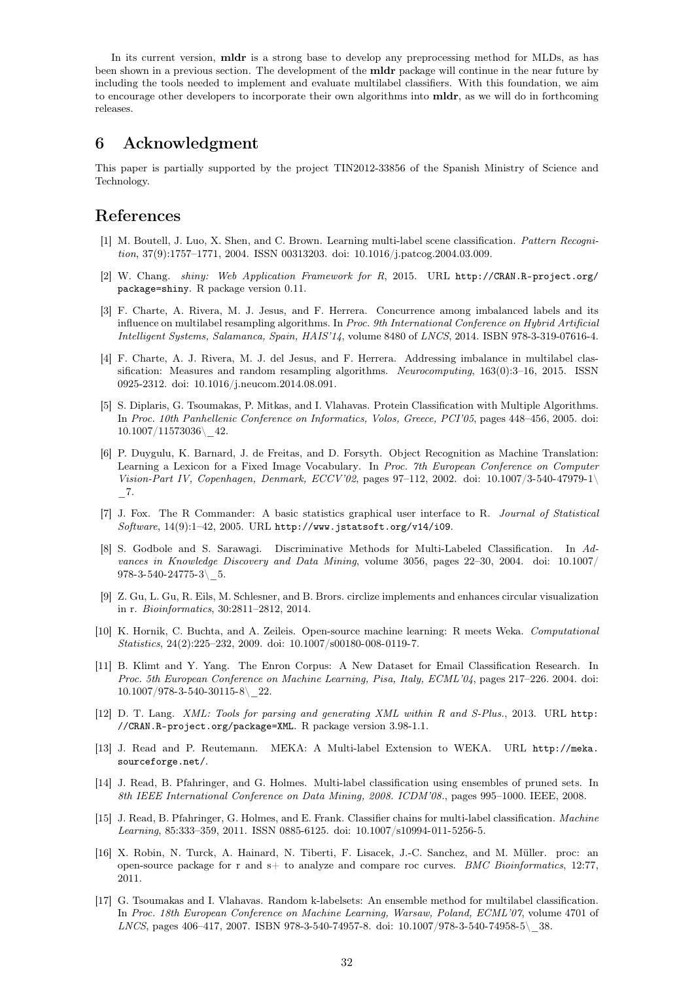In its current version, **mldr** is a strong base to develop any preprocessing method for MLDs, as has been shown in a previous section. The development of the mldr package will continue in the near future by including the tools needed to implement and evaluate multilabel classifiers. With this foundation, we aim to encourage other developers to incorporate their own algorithms into mldr, as we will do in forthcoming releases.

### 6 Acknowledgment

This paper is partially supported by the project TIN2012-33856 of the Spanish Ministry of Science and Technology.

## References

- [1] M. Boutell, J. Luo, X. Shen, and C. Brown. Learning multi-label scene classification. Pattern Recognition, 37(9):1757–1771, 2004. ISSN 00313203. doi: 10.1016/j.patcog.2004.03.009.
- [2] W. Chang. shiny: Web Application Framework for R, 2015. URL http://CRAN.R-project.org/ package=shiny. R package version 0.11.
- [3] F. Charte, A. Rivera, M. J. Jesus, and F. Herrera. Concurrence among imbalanced labels and its influence on multilabel resampling algorithms. In Proc. 9th International Conference on Hybrid Artificial Intelligent Systems, Salamanca, Spain, HAIS'14, volume 8480 of LNCS, 2014. ISBN 978-3-319-07616-4.
- [4] F. Charte, A. J. Rivera, M. J. del Jesus, and F. Herrera. Addressing imbalance in multilabel classification: Measures and random resampling algorithms. Neurocomputing, 163(0):3–16, 2015. ISSN 0925-2312. doi: 10.1016/j.neucom.2014.08.091.
- [5] S. Diplaris, G. Tsoumakas, P. Mitkas, and I. Vlahavas. Protein Classification with Multiple Algorithms. In Proc. 10th Panhellenic Conference on Informatics, Volos, Greece, PCI'05, pages 448–456, 2005. doi: 10.1007/11573036\\_42.
- [6] P. Duygulu, K. Barnard, J. de Freitas, and D. Forsyth. Object Recognition as Machine Translation: Learning a Lexicon for a Fixed Image Vocabulary. In Proc. 7th European Conference on Computer Vision-Part IV, Copenhagen, Denmark, ECCV'02, pages 97–112, 2002. doi: 10.1007/3-540-47979-1\  $\_7.$
- [7] J. Fox. The R Commander: A basic statistics graphical user interface to R. Journal of Statistical Software, 14(9):1–42, 2005. URL http://www.jstatsoft.org/v14/i09.
- [8] S. Godbole and S. Sarawagi. Discriminative Methods for Multi-Labeled Classification. In Advances in Knowledge Discovery and Data Mining, volume 3056, pages 22–30, 2004. doi: 10.1007/  $978-3-540-24775-3$  5.
- [9] Z. Gu, L. Gu, R. Eils, M. Schlesner, and B. Brors. circlize implements and enhances circular visualization in r. Bioinformatics, 30:2811–2812, 2014.
- [10] K. Hornik, C. Buchta, and A. Zeileis. Open-source machine learning: R meets Weka. Computational Statistics, 24(2):225–232, 2009. doi: 10.1007/s00180-008-0119-7.
- [11] B. Klimt and Y. Yang. The Enron Corpus: A New Dataset for Email Classification Research. In Proc. 5th European Conference on Machine Learning, Pisa, Italy, ECML'04, pages 217–226. 2004. doi:  $10.1007/978 - 3 - 540 - 30115 - 8$  22.
- [12] D. T. Lang. XML: Tools for parsing and generating XML within R and S-Plus., 2013. URL http: //CRAN.R-project.org/package=XML. R package version 3.98-1.1.
- [13] J. Read and P. Reutemann. MEKA: A Multi-label Extension to WEKA. URL http://meka. sourceforge.net/.
- [14] J. Read, B. Pfahringer, and G. Holmes. Multi-label classification using ensembles of pruned sets. In 8th IEEE International Conference on Data Mining, 2008. ICDM'08., pages 995–1000. IEEE, 2008.
- [15] J. Read, B. Pfahringer, G. Holmes, and E. Frank. Classifier chains for multi-label classification. Machine Learning, 85:333–359, 2011. ISSN 0885-6125. doi: 10.1007/s10994-011-5256-5.
- [16] X. Robin, N. Turck, A. Hainard, N. Tiberti, F. Lisacek, J.-C. Sanchez, and M. Müller. proc: an open-source package for r and  $s+$  to analyze and compare roc curves. BMC Bioinformatics, 12:77, 2011.
- [17] G. Tsoumakas and I. Vlahavas. Random k-labelsets: An ensemble method for multilabel classification. In Proc. 18th European Conference on Machine Learning, Warsaw, Poland, ECML'07, volume 4701 of LNCS, pages 406–417, 2007. ISBN 978-3-540-74957-8. doi: 10.1007/978-3-540-74958-5\\_38.